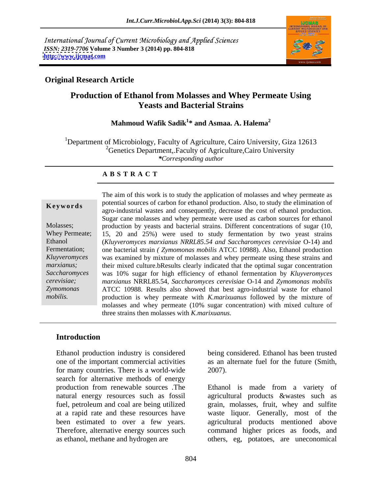International Journal of Current Microbiology and Applied Sciences *ISSN: 2319-7706* **Volume 3 Number 3 (2014) pp. 804-818 <http://www.ijcmas>.com**



### **Original Research Article**

## **Production of Ethanol from Molasses and Whey Permeate Using Yeasts and Bacterial Strains**

### **Mahmoud Wafik Sadik<sup>1</sup> \* and Asmaa. A. Halema<sup>2</sup>**

<sup>1</sup>Department of Microbiology, Faculty of Agriculture, Cairo University, Giza 12613  ${}^{2}$ Genetics Department,. Faculty of Agriculture, Cairo University *\*Corresponding author*

### **A B S T R A C T**

**Keywords** potential sources of carbon for ethanol production. Also, to study the emmination of agro-industrial wastes and consequently, decrease the cost of ethanol production. Molasses; production by yeasts and bacterial strains. Different concentrations of sugar (10, Whey Permeate; 15, 20 and 25%) were used to study fermentation by two yeast strains Ethanol (*Kluyveromyces marxianus NRRL85.54 and Saccharomyces cerevisiae* O-14) and Fermentation; one bacterial strain *(Zymomonas mobilis* ATCC 10988). Also, Ethanol production *Kluyveromyces*  was examined by mixture of molasses and whey permeate using these strains and marxianus; their mixed culture.bResults clearly indicated that the optimal sugar concentration *Saccharomyces*  was 10% sugar for high efficiency of ethanol fermentation by *Kluyveromyces cerevisiae; marxianus* NRRL85.54*, Saccharomyces cerevisiae* O-14 and *Zymomonas mobilis Zymomonas*  ATCC 10988. Results also showed that best agro-industrial waste for ethanol *mobilis.* production is whey permeate with *K.marixuanus* followed by the mixture of The aim of this work is to study the application of molasses and whey permeate as potential sources of carbon for ethanol production. Also, to study the elimination of Sugar cane molasses and whey permeate were used as carbon sources for ethanol molasses and whey permeate (10% sugar concentration) with mixed culture of three strains then molasses with *K.marixuanus.*

### **Introduction**

Ethanol production industry is considered being considered. Ethanol has been trusted one of the important commercial activities as an alternate fuel for the future (Smith, for many countries. There is a world-wide 2007). search for alternative methods of energy

2007).

production from renewable sources .The Ethanol is made from a variety of natural energy resources such as fossil agricultural products &wastes such as fuel, petroleum and coal are being utilized grain, molasses, fruit, whey and sulfite at a rapid rate and these resources have waste liquor. Generally, mostof the been estimated to over a few years. agricultural products mentioned above Therefore, alternative energy sources such command higher prices as foods, and as ethanol, methane and hydrogen are others, eg, potatoes, are uneconomical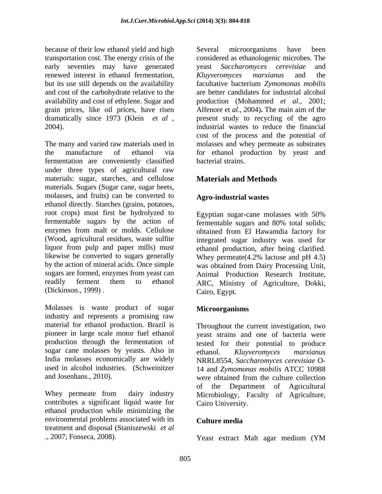because of their low ethanol yield and high Several microorganisms have been transportation cost. The energy crisis of the early seventies may have generated veast Saccharomyces cerevisiae and renewed interest in ethanol fermentation, Kluyveromyces marxianus and the but its use still depends on the availability facultative bacterium Zymomonas mobilis and cost of the carbohydrate relative to the availability and cost of ethylene. Sugar and grain prices, like oil prices, have risen Alfenore et  $al$ , 2004). The main aim of the dramatically since 1973 (Klein  $et$  al, present study to recycling of the agro

The many and varied raw materials used in molasses and whey permeate as substrates the manufacture of ethanol via for ethanol production by yeast and fermentation are conveniently classified under three types of agricultural raw materials: sugar, starches, and cellulose materials. Sugars (Sugar cane, sugar beets, molasses, and fruits) can be converted to ethanol directly. Starches (grains, potatoes, root crops) must first be hydrolyzed to Egyptian sugar-cane molasses with 50% fermentable sugars by the action of fermentable sugars and 80% total solids; enzymes from malt or molds. Cellulose obtained from El Hawamdia factory for (Wood, agricultural residues, waste sulfite integrated sugar industry was used for liquor from pulp and paper mills) must ethanol production, after being clarified*.* likewise be converted to sugars generally Whey permeate(4.2% lactose and pH 4.5) by the action of mineral acids. Once simple was obtained from Dairy Processing Unit, sugars are formed, enzymes from yeast can Animal Production Research Institute, readily ferment them to ethanol ARC, Ministry of Agriculture, Dokki, (Dickinson., 1999) .

Molasses is waste product of sugar **Microorganisms** industry and represents a promising raw material for ethanol production. Brazil is pioneer in large scale motor fuel ethanol yeast strains and one of bacteria were production through the fermentation of tested for their potential to produce sugar cane molasses by yeasts. Also in ethanol. Kluvveromyces marxianus India molasses economically are widely NRRL8554, *Saccharomyces cerevisiae* O used in alcohol industries. (Schweinitzer 14 and *Zymomonas mobilis* ATCC 10988

contributes a significant liquid waste for ethanol production while minimizing the environmental problems associated with its Culture media treatment and disposal (Staniszewski *et al*

dramatically since 1973 (Klein *et al* , present study to recycling of the agro 2004). industrial wastes to reduce the financial Several microorganisms have been considered as ethanologenic microbes. The **yeast** *Saccharomyces cerevisiae Kluyveromyces marxianus* and the facultative bacterium *Zymomonas mobilis* are better candidates for industrial alcohol production (Mohammed *et al*., 2001; Alfenore et *al*., 2004)**.** The main aim of the cost of the process and the potential of bacterial strains.

## **Materials and Methods**

### **Agro-industrial wastes**

Egyptian sugar-cane molasses with 50% fermentable sugars and 80% total solids; Cairo, Egypt.

### **Microorganisms**

and Josenhans., 2010). were obtained from the culture collection Whey permeate from dairy industry Microbiology, Faculty of Agriculture, Throughout the current investigation, two ethanol. *Kluyveromyces marxianus* of the Department of Agricultural Cairo University.

### **Culture media**

., 2007; Fonseca, 2008). Yeast extract Malt agar medium (YM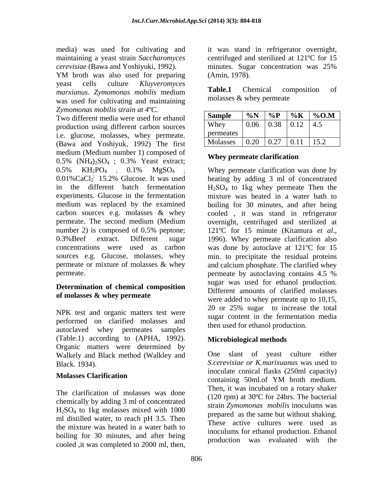media) was used for cultivating and *cerevisiae* (Bawa and Yoshiyuki, 1992).

YM broth was also used for preparing (Amin, 1978). yeast cells culture *Kluyveromyces marxianus. Zymomonas mobilis* medium<br>was used for cultivating and maintaining molasses & whey permeate was used for cultivating and maintaining *Zymomonas mobilis strain at 4ºC.*

Two different media were used for ethanol production using different carbon sources i.e. glucose, molasses, whey permeate. (Bawa and Yoshiyuk, 1992) The first medium (Medium number 1) composed of  $0.5\%$  (NH<sub>4</sub>)<sub>2</sub>SO<sub>4</sub>;  $0.3\%$  Yeast extract; Whey permeate claim cation  $0.5\%$  KH<sub>2</sub>PO<sub>4</sub> ;  $0.1\%$  MgSO<sub>4</sub> ; Whey permeate clarification was done by  $0.01\%$ CaCl<sub>2</sub><sup>;</sup> 15.2% Glucose. It was used heating by adding 3 ml of concentrated in the different batch fermentation  $H_2SO_4$  to 1kg whey permeate Then the experiments. Glucose in the fermentation mixture was heated in a water bath to medium was replaced by the examined boiling for 30 minutes, and after being carbon sources e.g. molasses & whey cooled , it was stand in refrigerator permeate. The second medium (Medium overnight, centrifuged and sterilized at number 2) is composed of 0.5% peptone;  $121^{\circ}$  for 15 minute (Kitamura *et al.*, 0.3%Beef extract. Different sugar 1996). Whey permeate clarification also concentrations were used as carbon was done by autoclave at 121ºC for 15 sources e.g. Glucose, molasses, whey min. to precipitate the residual proteins permeate or mixture of molasses & whey and calcium phosphate. The clarified whey permeate. by autoclaving contains 4.5 %

## **Determination of chemical composition**

NPK test and organic matters test were performed on clarified molasses and autoclaved whey permeates samples (Table.1) according to (APHA, 1992). **Microbiological methods**<br>Organic matters were determined by Walkely and Black method (Walkley and

The clarification of molasses was done chemically by adding 3 ml of concentrated  $H<sub>2</sub>SO<sub>4</sub>$  to 1kg molasses mixed with 1000 ml distilled water, to reach pH 3.5. Then the mixture was heated in a water bath to boiling for 30 minutes, and after being cooled ,it was completed to 2000 ml, then,

maintaining a yeast strain *Saccharomyces*  centrifuged and sterilized at 121ºC for 15 it was stand in refrigerator overnight, minutes. Sugar concentration was 25% (Amin, 1978).

> **Table.1** Chemical composition of molasses & whey permeate

| $\begin{array}{ l c c c c c c c } \hline \textbf{Sample} & \textbf{\%N} & \textbf{\%O} & \textbf{\%P} & \textbf{\%K} & \textbf{\%O.M} \\ \hline \textbf{Whey} & 0.06 & 0.38 & 0.12 & 4.5 \\ \hline \end{array}$ |  |  |  |  |  |
|-----------------------------------------------------------------------------------------------------------------------------------------------------------------------------------------------------------------|--|--|--|--|--|
|                                                                                                                                                                                                                 |  |  |  |  |  |
| permeates                                                                                                                                                                                                       |  |  |  |  |  |
| Molasses 0.20 0.27<br>$1 \mid 15.2$                                                                                                                                                                             |  |  |  |  |  |

### **Whey permeate clarification**

<sup>1</sup> 15.2% Glucose. It was used heating by adding 3 ml of concentrated **of molasses & whey permeate** Whey permeate clarification was done by 121ºC for <sup>15</sup> minute (Kitamura *et al*., 1996). Whey permeate clarification also permeate by autoclaving contains 4.5 % sugar was used for ethanol production. Different amounts of clarified molasses were added to whey permeate up to 10,15, 20 or 25% sugar to increase the total sugar content in the fermentation media then used for ethanol production.

### **Microbiological methods**

Black. 1934). *S.cerevisiae or K.marixuanus* was used to Molasses Clarification<br>
antering 50ml of VM broth modum One slant of yeast culture either inoculate conical flasks (250ml capacity) containing 50ml.of YM broth medium. Then, it was incubated on a rotary shaker (120 rpm) at 30ºC for 24hrs. The bacterial strain *Zymomonas mobilis* inoculums was prepared as the same but without shaking. These active cultures were used as inoculums for ethanol production. Ethanol production was evaluated with the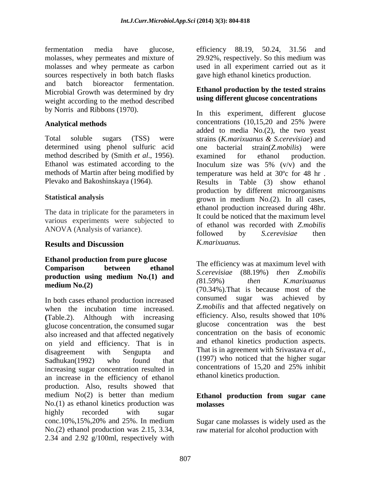fermentation media have glucose, efficiency 88.19, 50.24, 31.56 and molasses, whey permeates and mixture of 29.92%, respectively. So this medium was molasses and whey permeate as carbon sources respectively in both batch flasks and batch bioreactor fermentation. Microbial Growth was determined by dry weight according to the method described by Norris and Ribbons (1970).

determined using phenol sulfuric acid one bacterial strain(Z.mobilis) were method described by (Smith *et al.*, 1956). examined for ethanol production.

The data in triplicate for the parameters in various experiments were subjected to

# **Ethanol production from pure glucose**

when the incubation time increased. **(**Table.2). Although with increasing glucose concentration, the consumed sugar also increased and that affected negatively on yield and efficiency. That is in disagreement with Sengupta and That is in agreement with Srivastava *et al.*, Sadhukan(1992) who found that (1997) who noticed that the higher sugar increasing sugar concentration resulted in concentrations of 15,20 and 25% inhibit an increase in the efficiency of ethanol production. Also, results showed that medium No(2) is better than medium **Ethanol production from sugar cane** No.(1) as ethanol kinetics production was **molesses** highly recorded with sugar conc.10%,15%,20% and 25%. In medium Sugar cane molasses is widely used as the No.(2) ethanol production was 2.15, 3.34, raw material for alcohol production with2.34 and 2.92 g/100ml, respectively with

29.92%, respectively. So this medium was used in all experiment carried out as it gave high ethanol kinetics production.

### **Ethanol production by the tested strains using different glucose concentrations**

Analytical methods concentrations (10,15,20 and 25%) were Total soluble sugars (TSS) were strains (*K.marixuanus & S.cerevisiae*) and Ethanol was estimated according to the Inoculum size was 5% (v/v) and the methods of Martin after being modified by temperature was held at 30ºc for 48 hr . Plevako and Bakoshinskaya (1964). Results in Table (3) show ethanol Statistical analysis **Exercise Statistical analysis** grown in medium No.(2). In all cases, ANOVA (Analysis of variance).<br>
followed by *S.cerevisiae* then **Results and Discussion** In this experiment, different glucose concentrations (10,15,20 and 25% )were added to media No.(2), the two yeast one bacterial strain(*Z.mobilis*) were examined for ethanol production. production by different microorganisms ethanol production increased during 48hr. It could be noticed that the maximum level of ethanol was recorded with *Z.mobilis*  followed by *S.cerevisiae* then *K.marixuanus.*

**Comparison between ethanol r consumers** *conducting example <b>ethanol c consuming <i>conducting conducting z <i>mobilis***</mark> production using medium No.(1)** and  $\begin{bmatrix} 0.1500 \\ 0.0000 \end{bmatrix}$  *Men K* mening and **medium No.(2)**  $(0.34\%)$ . That is because most of the In both cases ethanol production increased consumed sugar was achieved by The efficiency was at maximum level with *S.cerevisiae* (88.19%) *then Z.mobilis (*81.59%) *then K.marixuanus* consumed sugar was achieved by *Z.mobilis* and that affected negatively on efficiency. Also, results showed that 10% glucose concentration was the best concentration on the basis of economic and ethanol kinetics production aspects. (1997) who noticed that the higher sugar concentrations of 15,20 and 25% inhibit ethanol kinetics production.

## **molasses**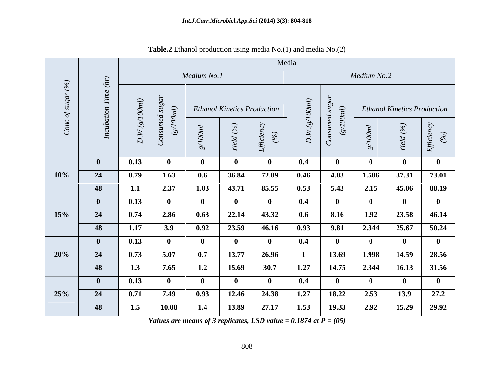|                                        |                               |                                        |                           |              |                                    | Media              |                                                            |                |             |                                                       |                     |
|----------------------------------------|-------------------------------|----------------------------------------|---------------------------|--------------|------------------------------------|--------------------|------------------------------------------------------------|----------------|-------------|-------------------------------------------------------|---------------------|
| $\overline{\phantom{1}}$<br>$\sqrt{2}$ |                               |                                        |                           | Medium No.1  |                                    |                    |                                                            |                | Medium No.2 |                                                       |                     |
|                                        | $\check{ }$<br>$\overline{ }$ | $\bigcirc$<br>1001<br>Ò,               | $\overline{C}$<br>$\circ$ |              | <b>Ethanol Kinetics Production</b> |                    | $\overline{\phantom{a}}$<br>Ĝ.<br>$\overline{\phantom{0}}$ | $\overline{C}$ |             | <b>Ethanol Kinetics Production</b>                    |                     |
| $\circ$                                | ≂                             | $\smile$<br>$\geq$<br>$\overline{D}$ . | $\check{ }$               |              | $\rightarrow$<br>$\rightarrow$     | $\widehat{\omega}$ | $\approx$<br>$\overline{D}$ .                              | $\smile$       |             | $\widehat{\omega}$<br>$\smile$<br>$\overline{ }$<br>∼ | $\widehat{u}$<br>EĤ |
|                                        |                               | 0.13                                   |                           | $\bf{0}$     |                                    |                    | 0.4                                                        |                | $\bf{0}$    | $\mathbf{0}$                                          |                     |
| 10%                                    | 24                            | 0.79                                   | 1.63                      | 0.6          | 36.84                              | 72.09              | 0.46                                                       | 4.03           | 1.506       | 37.31                                                 | 73.01               |
|                                        | 48                            | 1.1                                    | 2.37                      | 1.03         | 43.71                              | 85.55              | 0.53                                                       | 5.43           | 2.15        | 45.06                                                 | 88.19               |
|                                        |                               | 0.13                                   |                           | $\mathbf{0}$ |                                    |                    | 0.4                                                        |                | - 0         | $\mathbf{v}$                                          |                     |
| 15%                                    | 24                            | 0.74                                   | 2.86                      | 0.63         | 22.14                              | 43.32              | 0.6                                                        | 8.16           | 1.92        | 23.58                                                 | 46.14               |
|                                        | 48                            | 1.17                                   | 3.9                       | 0.92         | 23.59                              | 46.16              | 0.93                                                       | 9.81           | 2.344       | 25.67                                                 | 50.24               |
|                                        |                               | 0.13                                   |                           | $\mathbf{0}$ |                                    |                    | 0.4                                                        |                | - 0         |                                                       |                     |
| 20%                                    | 24                            | 0.73                                   | 5.07                      | 0.7          | 13.77                              | 26.96              |                                                            | 13.69          | 1.998       | 14.59                                                 | 28.56               |
|                                        | 48                            | 1.3                                    | 7.65                      | 1.2          | 15.69                              | 30.7               | 1.27                                                       | 14.75          | 2.344       | 16.13                                                 | 31.56               |
|                                        |                               | 0.13                                   |                           | -0           |                                    |                    | 0.4                                                        |                | - 0         |                                                       | $\mathbf{v}$        |
| 25%                                    | 24                            | 0.71                                   | 7.49                      | 0.93         | 12.46                              | 24.38              | 1.27                                                       | 18.22          | 2.53        | 13.9                                                  | 27.2                |
|                                        | 48                            | 1.5                                    | 10.08                     | 1.4          | 13.89                              | 27.17              | 1.53                                                       | 19.33          | 2.92        | 15.29                                                 | 29.92               |

**Table.2** Ethanol production using media No.(1) and media No.(2)

*Values are means of 3 replicates, LSD value = 0.1874 at P = (05)*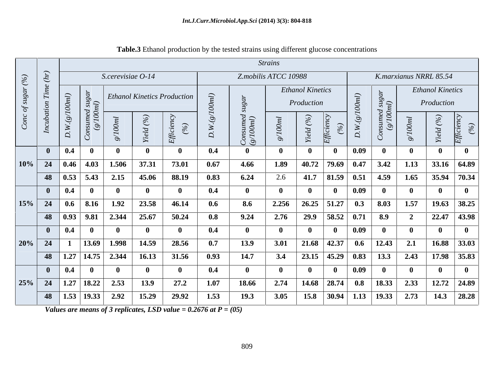|          |                          |                                                                  |                       |                                                           |                   |              |                                    |      |                      | <b>Strains</b> |                                       |                               |      |                                                      |              |                                       |  |
|----------|--------------------------|------------------------------------------------------------------|-----------------------|-----------------------------------------------------------|-------------------|--------------|------------------------------------|------|----------------------|----------------|---------------------------------------|-------------------------------|------|------------------------------------------------------|--------------|---------------------------------------|--|
|          |                          |                                                                  |                       |                                                           | S.cerevisiae O-14 |              |                                    |      | Z.mobilis ATCC 10988 |                |                                       |                               |      | K.marxianus NRRL 85.54                               |              |                                       |  |
|          | $\overline{E}$           |                                                                  |                       |                                                           |                   |              | <b>Ethanol Kinetics Production</b> |      |                      |                | <b>Ethanol Kinetics</b><br>Production |                               |      |                                                      |              | <b>Ethanol Kinetics</b><br>Production |  |
| $\sigma$ | $\overline{L}$           | $\overline{D}$                                                   |                       |                                                           |                   |              |                                    |      |                      |                |                                       |                               |      |                                                      |              |                                       |  |
|          |                          | $\begin{array}{ c c c c c } \hline 0 & 0.4 \ \hline \end{array}$ | $\blacksquare$        | - 0                                                       |                   |              | - 0                                | 0.4  |                      | $\mathbf{0}$   |                                       |                               | 0.09 |                                                      |              |                                       |  |
|          |                          |                                                                  |                       | $10\%$   24   0.46   4.03   1.506                         |                   | 37.31        | 73.01                              | 0.67 | 4.66                 | 1.89           |                                       | $40.72$   79.69   0.47   3.42 |      |                                                      | 1.13         | $33.16$ 64.89                         |  |
|          |                          |                                                                  |                       | $\boxed{48}$ $\boxed{0.53}$ $\boxed{5.43}$ $\boxed{2.15}$ |                   | 45.06        | 88.19                              | 0.83 | 6.24                 | 2.6            |                                       | 41.7   81.59   0.51   4.59    |      |                                                      |              | $1.65$   35.94   70.34                |  |
|          |                          | $0 \quad 0.4$                                                    | $\mathbf{0}$          | - 0                                                       |                   |              | - 0                                | 0.4  | $\mathbf{0}$         | $\bf{0}$       |                                       | $\mathbf{0}$                  | 0.09 | - 0                                                  |              |                                       |  |
|          | $15\%$   24   0.6   8.16 |                                                                  |                       | 1.92                                                      |                   | 23.58        | 46.14                              | 0.6  | 8.6                  | 2.256          |                                       | $26.25$   51.27   0.3   8.03  |      |                                                      | 1.57         | $19.63$ 38.25                         |  |
|          |                          |                                                                  |                       | $\boxed{48}$ $\boxed{0.93}$   9.81   2.344                |                   | 25.67        | 50.24                              | 0.8  | 9.24                 | 2.76           |                                       | 29.9 58.52 0.71 8.9           |      |                                                      |              | $22.47$ 43.98                         |  |
|          |                          | $\begin{array}{ c c c c c c } \hline 0 & 0.4 \end{array}$        | $\mathbf{0}$          | - 0                                                       |                   | - 0          | $\theta$                           | 0.4  | $\mathbf{0}$         | $\bf{0}$       | - 0                                   | $\mathbf{0}$                  | 0.09 | - 0 -                                                | - 0          | $\mathbf{0}$                          |  |
|          | $20\%$ 24                | $\mathbf{1}$                                                     | $\vert$ 13.69 $\vert$ | $\vert$ 1.998                                             |                   | 14.59        | 28.56                              | 0.7  | 13.9                 | 3.01           |                                       |                               |      | $21.68$   42.37   0.6   12.43   2.1                  |              | 16.88 33.03                           |  |
|          |                          |                                                                  |                       | 48   1.27   14.75   2.344                                 |                   | 16.13        | 31.56                              | 0.93 | 14.7                 | 3.4            |                                       |                               |      | 23.15   45.29   0.83   13.3                          |              | 2.43   17.98   35.83                  |  |
|          |                          |                                                                  | $\mathbf{0}$          | $\mathbf{0}$                                              |                   | $\mathbf{0}$ | $\bf{0}$                           | 0.4  | $\bf{0}$             | $\bf{0}$       | $\bf{0}$                              | $\mathbf{0}$                  | 0.09 | $\bullet$                                            | $\mathbf{0}$ | $\mathbf{0}$                          |  |
|          |                          |                                                                  |                       | $25\%$ 24 1.27 18.22 2.53                                 |                   | 13.9         | 27.2                               | 1.07 | 18.66                | 2.74           |                                       |                               |      | $14.68$   28.74   0.8   18.33   2.33   12.72   24.89 |              |                                       |  |
|          |                          |                                                                  |                       |                                                           |                   |              |                                    |      |                      |                |                                       |                               |      |                                                      |              |                                       |  |
|          |                          |                                                                  |                       | 48   1.53   19.33   2.92                                  |                   | 15.29        | 29.92                              | 1.53 | 19.3                 | 3.05           |                                       |                               |      | $15.8$   30.94   1.13   19.33   2.73                 |              | 14.3   28.28                          |  |

|  | Table.3 Ethanol production by the tested strains using different glucose concentrations |  |  |  |
|--|-----------------------------------------------------------------------------------------|--|--|--|
|  |                                                                                         |  |  |  |

*Values are means of 3 replicates, LSD value = 0.2676 at P = (05)*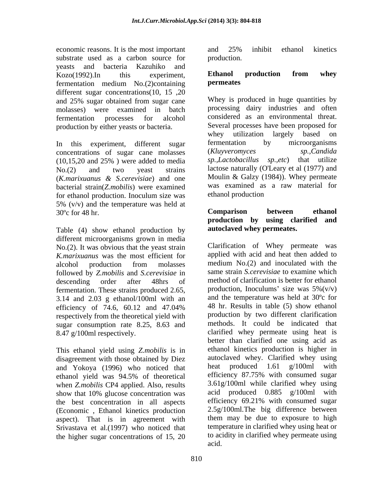economic reasons. It is the most important and 25% inhibit ethanol kinetics substrate used as a carbon source for production. yeasts and bacteria Kazuhiko and Kozo(1992).In this experiment, Ethanol production from whey fermentation medium No.(2)containing different sugar concentrations(10, 15 ,20 and 25% sugar obtained from sugar cane molasses) were examined in batch

concentrations of sugar cane molasses (*K.marixuanus & S.cerevisiae*) and one bacterial strain(*Z.mobilis*) were examined was examined as<br>for ethanol production Inoculum size was ethanol production for ethanol production. Inoculum size was 5%  $(v/v)$  and the temperature was held at<br>30°c for 48 hr<br>**Comparison** between ethanol

Table (4) show ethanol production by different microorganisms grown in media No.(2). It was obvious that the yeast strain *K.marixuanus* was the most efficient for followed by *Z.mobilis* and *S.cerevisiae* in fermentation. These strains produced 2.65, 3.14 and 2.03 g ethanol/100ml with an efficiency of 74.6, 60.12 and 47.04% respectively from the theoretical yield with sugar consumption rate 8.25, 8.63 and

This ethanol yield using *Z.mobilis* is in disagreement with those obtained by Diez autoclaved whey. Clarified whey using<br>and Yokova (1996) who noticed that heat produced 1.61 g/100ml with and Yokoya (1996) who noticed that when *Z.mobilis* CP4 applied. Also, results the best concentration in all aspects (Economic , Ethanol kinetics production aspect). That is in agreement with Srivastava et al.(1997) who noticed that the higher sugar concentrations of 15, 20

and 25% inhibit ethanol kinetics production.

### **Ethanol production from whey permeates**

fermentation processes for alcohol considered as an environmental threat. production by either yeasts or bacteria. Several processes have been proposed for<br>whey utilization largely based on In this experiment, different sugar fermentation by microorganisms<br>concentrations of sugar cane molasses (*Kluvveromyces sp., Candida*  $(10,15,20 \text{ and } 25\%)$  were added to media  $sp.$ , *Lactobacillus*  $sp.$ , *etc*) that utilize No.(2) and two yeast strains lactose naturally (O'Leary et al (1977) and Whey is produced in huge quantities by processing dairy industries and often Several processes have been proposed for whey utilization largely fermentation by microorganisms (*Kluyveromyces sp.,Candida sp.,Lactobacillus sp.,etc*) that utilize Moulin & Galzy (1984)). Whey permeate was examined as a raw material for ethanol production

### 30°c for 48 hr. **Comparison between ethanol Comparison between ethanol production by using clarified and autoclaved whey permeates.**

alcohol production from molasses medium No.(2) and inoculated with the descending order after 48hrs of method of clarification is better for ethanol 8.47 g/100ml respectively. clarified whey permeate using heat is ethanol yield was 94.5% of theoretical show that 10% glucose concentration was acid produced 0.885 g/100ml with Clarification of Whey permeate was applied with acid and heat then added to medium No.(2) and inoculated with the same strain *S.cerevisiae* to examine which method of clarification is better for ethanol production, Inoculums' size was  $5\%$  (v/v) and the temperature was held at 30ºc for 48 hr. Results in table (5) show ethanol production by two different clarification methods. It could be indicated that better than clarified one using acid as ethanol kinetics production is higher in autoclaved whey. Clarified whey using heat produced 1.61 g/100ml with efficiency 87.75% with consumed sugar 3.61g/100ml while clarified whey using acid produced 0.885 g/100ml with efficiency 69.21% with consumed sugar 2.5g/100ml.The big difference between them may be due to exposure to high temperature in clarified whey using heat or to acidity in clarified whey permeate using acid.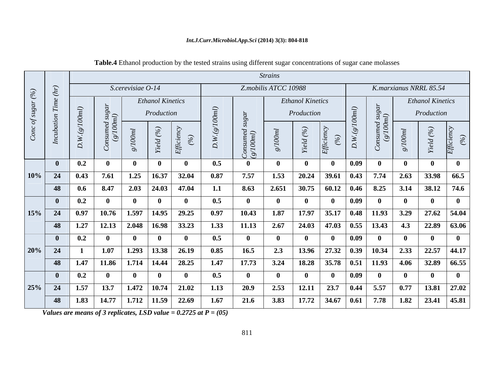|           |                |              |              |                   |                                       |                                                                                                   |          |                      | <b>Strains</b> |                                       |                               |                         |                        |                                                                                   |                                       |               |
|-----------|----------------|--------------|--------------|-------------------|---------------------------------------|---------------------------------------------------------------------------------------------------|----------|----------------------|----------------|---------------------------------------|-------------------------------|-------------------------|------------------------|-----------------------------------------------------------------------------------|---------------------------------------|---------------|
|           |                |              |              | S.cerevisiae O-14 |                                       |                                                                                                   |          | Z.mobilis ATCC 10988 |                |                                       |                               |                         |                        | K.marxianus NRRL 85.54                                                            |                                       |               |
|           |                |              |              |                   | <b>Ethanol Kinetics</b><br>Production |                                                                                                   |          |                      |                | <b>Ethanol Kinetics</b><br>Production |                               |                         |                        |                                                                                   | <b>Ethanol Kinetics</b><br>Production |               |
|           | $\overline{a}$ |              |              |                   |                                       |                                                                                                   | $\Delta$ |                      |                |                                       |                               | $\Delta$                |                        |                                                                                   |                                       |               |
|           |                | 0.2          |              | - 0               |                                       | $\bf{0}$                                                                                          | 0.5      |                      |                | - 0                                   |                               | 0.09                    |                        |                                                                                   |                                       |               |
|           | $10\%$ 24      | 0.43         | 7.61         |                   | $1.25$   16.37                        | 32.04                                                                                             | 0.87     | 7.57                 | 1.53           |                                       | 20.24   39.61   0.43   7.74   |                         |                        | $2.63$ 33.98 66.5                                                                 |                                       |               |
|           | - 48           | 0.6          | 8.47         | 2.03              | $24.03$                               | 47.04                                                                                             | 1.1      | 8.63                 | 2.651          |                                       | 30.75   60.12   0.46   8.25   |                         |                        | $3.14$   $38.12$   74.6                                                           |                                       |               |
|           |                | 0.2          |              |                   |                                       |                                                                                                   | 0.5      |                      |                |                                       |                               | $\vert 0.09 \vert$      |                        |                                                                                   |                                       |               |
|           | $15\%$ 24      | $\vert$ 0.97 |              | $10.76$ 1.597     | 14.95                                 | 29.25                                                                                             | 0.97     | 10.43                | 1.87           | 17.97                                 |                               |                         | $35.17$   0.48   11.93 | $3.29$   27.62   54.04                                                            |                                       |               |
|           |                |              |              |                   |                                       | $\begin{array}{ c c c c c c c c c } \hline \end{array}$ 48   1.27   12.13   2.048   16.98   33.23 | 1.33     | 11.13                | 2.67           |                                       | 24.03   47.03   0.55   13.43  |                         |                        | 4.3 22.89 63.06                                                                   |                                       |               |
|           | - 0            | 0.2          |              |                   |                                       |                                                                                                   | 0.5      |                      |                |                                       |                               | $\sqrt{0.09}$           | - 0                    |                                                                                   |                                       |               |
| $20\%$ 24 |                |              | 1.07         |                   | 1.293   13.38                         | 26.19                                                                                             | 0.85     | 16.5                 | 2.3            | 13.96                                 |                               |                         | 27.32   0.39   10.34   | 2.33                                                                              | 22.57                                 | 44.17         |
|           | 48             | $\vert$ 1.47 |              |                   |                                       | 11.86   1.714   14.44   28.25                                                                     | 1.47     | 17.73                | 3.24           | 18.28                                 |                               |                         |                        | $\vert$ 35.78 $\vert$ 0.51 $\vert$ 11.93 $\vert$ 4.06 $\vert$ 32.89 $\vert$ 66.55 |                                       |               |
|           | - 0            | 0.2          |              |                   |                                       | $\mathbf{0}$                                                                                      | 0.5      | - 0                  |                | - 0                                   |                               | $\vert 0.09 \vert$      | $\mathbf{0}$           | -0                                                                                |                                       |               |
|           | $25\%$ 24      | $\vert$ 1.57 | $\vert$ 13.7 |                   |                                       | $1.472$   10.74   21.02                                                                           | 1.13     | 20.9                 | 2.53           | 12.11                                 | 23.7                          | $\vert 0.44 \vert 5.57$ |                        | 0.77                                                                              |                                       | $13.81$ 27.02 |
|           | 48 1.83        |              | 14.77        |                   |                                       | 1.712   11.59   22.69                                                                             | 1.67     | 21.6                 | 3.83           |                                       | $17.72$   34.67   0.61   7.78 |                         |                        | $1.82$   23.41   45.81                                                            |                                       |               |
|           |                |              |              |                   |                                       |                                                                                                   |          |                      |                |                                       |                               |                         |                        |                                                                                   |                                       |               |

### **Table.4** Ethanol production by the tested strains using different sugar concentrations of sugar cane molasses

*Values are means of 3 replicates, LSD value = 0.2725 at P = (05)*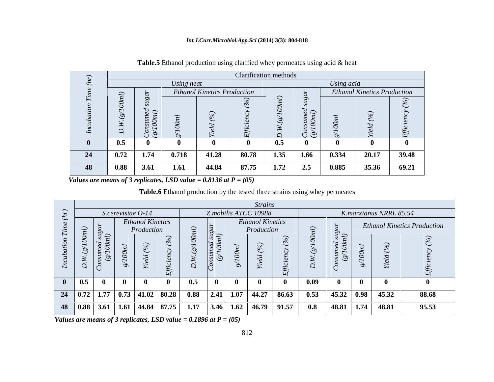|                |                          |                                                        |            |                                    | <b>Clarification</b> methods |      |                            |            |                                    |                                    |
|----------------|--------------------------|--------------------------------------------------------|------------|------------------------------------|------------------------------|------|----------------------------|------------|------------------------------------|------------------------------------|
|                |                          |                                                        | Using heat |                                    |                              |      |                            | Using acid |                                    |                                    |
|                | $\overline{\phantom{0}}$ |                                                        |            | <b>Ethanol Kinetics Production</b> |                              |      |                            |            | <b>Ethanol Kinetics Production</b> |                                    |
|                |                          | $\overline{\phantom{a}}$<br>$\widetilde{\sigma}$<br>0ò |            |                                    |                              |      | r<br>R<br>sum<br>OOn<br>öà |            |                                    | $\overline{\phantom{0}}$<br>$\sim$ |
| $\blacksquare$ | 0.5                      |                                                        |            |                                    |                              | 0.5  |                            |            |                                    |                                    |
| 24             | 0.72                     | 1.74                                                   | 0.718      | 41.28                              | 80.78                        | 1.35 | 1.66                       | 0.334      | 20.17                              | 39.48                              |
| 48             | 0.88                     | 3.61                                                   | 1.61       | 44.84                              | 87.75                        | 1.72 | 2.5                        | 0.885      | 35.36                              | 69.21                              |

### **Table.5** Ethanol production using clarified whey permeates using acid & heat

 *Values are means of 3 replicates, LSD value = 0.8136 at P = (05)*

### **Table.6** Ethanol production by the tested three strains using whey permeates

|                   |                                                                                      |                      |                                            |                                                                 |                          |                          |                              |      | <b>Strains</b>                        |                    |      |                                                     |                        |                              |                                    |
|-------------------|--------------------------------------------------------------------------------------|----------------------|--------------------------------------------|-----------------------------------------------------------------|--------------------------|--------------------------|------------------------------|------|---------------------------------------|--------------------|------|-----------------------------------------------------|------------------------|------------------------------|------------------------------------|
| $\widehat{\cdot}$ |                                                                                      |                      | $S.$ cerevisiae $O-14$                     |                                                                 |                          |                          | Z.mobilis ATCC 10988         |      |                                       |                    |      |                                                     |                        | K.marxianus NRRL 85.54       |                                    |
| $\ddot{r}$        | $\overline{C}$                                                                       | ingur                |                                            | <b>Ethanol Kinetics</b><br>Production                           |                          | $\overline{\phantom{1}}$ |                              |      | <b>Ethanol Kinetics</b><br>Production |                    |      |                                                     |                        |                              | <b>Ethanol Kinetics Production</b> |
| $\tilde{L}$       | $\circ$<br>$\overline{\phantom{0}}$<br>$\begin{array}{c}\nD.W \\ Cones\n\end{array}$ | 35U                  | ÒÒ.                                        | $\widehat{\omega}$<br>$\overline{\phantom{0}}$<br>$\rightarrow$ | $\overline{\phantom{0}}$ |                          | $\frac{2}{5}$<br>g<br>S<br>0 |      | ∼                                     |                    |      | $\overline{\phantom{a}}$<br>$\overline{\mathsf{C}}$ |                        | $\widehat{\circ}$<br>∶≂<br>∼ |                                    |
| $\mathbf{0}$      | 0.5                                                                                  |                      |                                            |                                                                 |                          | 0.5                      |                              |      |                                       |                    | 0.09 |                                                     | $\bf{0}$               |                              |                                    |
|                   |                                                                                      | $24 \t 0.72 \t 1.77$ | $\vert 0.73 \vert 41.02 \vert 80.28 \vert$ |                                                                 |                          | 0.88                     | 2.41                         |      |                                       | $1.07$ 44.27 86.63 | 0.53 |                                                     | $45.32 \mid 0.98 \mid$ | 45.32                        | 88.68                              |
|                   | 48 0.88 3.61                                                                         |                      | $1.61$ 44.84 87.75                         |                                                                 |                          | 1.17                     | 3.46                         | 1.62 | 46.79                                 | 91.57              | 0.8  |                                                     | 48.81 1.74             | 48.81                        | 95.53                              |

 *Values are means of 3 replicates, LSD value = 0.1896 at P = (05)*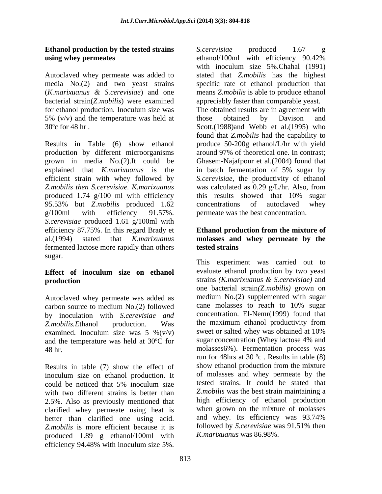### **Ethanol production by the tested strains** S.cerevisiae produced 1.67 g **using whey permeates** ethanol/100ml with efficiency 90.42%

Autoclaved whey permeate was added to bacterial strain(*Z.mobilis*) were examined  $5\%$  (v/v) and the temperature was held at those obtained by Davison and

Results in Table (6) show ethanol produce 50-200g ethanol/L/hr with yield production by different microorganisms around 97% of theoretical one. In contrast; grown in media No.(2).It could be explained that *K.marixuanus* is the efficient strain with whey followed by *S.cerevisiae*, the productivity of ethanol *Z.mobilis then S.cerevisiae. K.marixuanus* produced 1.74 g/100 ml with efficiency this results showed that 10% sugar 95.53% but *Z.mobilis* produced 1.62 g/100ml with efficiency 91.57%. permeate was the best concentration. *S.cerevisiae* produced 1.61 g/100ml with efficiency 87.75%. In this regard Brady et **Ethanol production from the mixture of** al.(1994) stated that *K.marixuanus* **molasses and whey permeate by the** fermented lactose more rapidly than others sugar.

## **production** strains (*K.marixuanus & S.cerevisiae*) and

Autoclaved whey permeate was added as  $\frac{1}{2}$  medium No.(2) supplemented with sugar carbon source to medium No.(2) followed can molasses to reach to 10% sugar by inoculation with *S.cerevisiae and* and the temperature was held at 30°C for sugar concentration (Whey lactose 4% and

Results in table (7) show the effect of inoculum size on ethanol production. It could be noticed that 5% inoculum size with two different strains is better than 2.5%. Also as previously mentioned that clarified whey permeate using heat is when grown on the mixture of molasses<br>better than clarified one using acid. and whey. Its efficiency was 93.74% better than clarified one using acid. and whey. Its efficiency was 93.74%<br>Z mobilis is more efficient because it is followed by S *cerevisiae* was 91.51% then *Z.mobilis* is more efficient because it is produced 1.89 g ethanol/100ml with efficiency 94.48% with inoculum size 5%.

media No.(2) and two yeast strains specific rate of ethanol production that (*K.marixuanus & S.cerevisiae*) and one means *Z.mobilis* is able to produce ethanol for ethanol production. Inoculum size was 30ºc for 48 hr . Scott.(1988)and Webb et al.(1995) who *S.cerevisiae* produced 1.67 g ethanol/100ml with efficiency 90.42% with inoculum size 5%.Chahal (1991) stated that *Z.mobilis* has the highest appreciably faster than comparable yeast. The obtained results are in agreement with those obtained by Davison and found that *Z.mobilis* had the capability to around 97% of theoretical one. In contrast; Ghasem-Najafpour et al.(2004) found that in batch fermentation of 5% sugar by was calculated as 0.29 g/L/hr. Also, from this results showed that 10% sugar concentrations of autoclaved whey

## **Ethanol production from the mixture of tested strains**

**Effect of inoculum size on ethanol** carbon source to medium No.(2) followed cane molasses to reach to 10% sugar *Z.mobilis.E*thanol production. Was the maximum ethanol productivity from examined. Inoculum size was 5  $\%$ (v/v) sweet or salted whey was obtained at 10% 48 hr. molasses6%). Fermentation process was This experiment was carried out to evaluate ethanol production by two yeast strains *(K.marixuanus & S.cerevisiae)* and one bacterial strain*(Z.mobilis)* grown on medium No.(2) supplemented with sugar cane molasses to reach to 10% sugar concentration. El-Nemr(1999) found that sweet or salted whey was obtained at 10% sugar concentration (Whey lactose 4% and run for 48hrs at 30 ºc . Results in table (8) show ethanol production from the mixture of molasses and whey permeate by the tested strains. It could be stated that *Z.mobilis* was the best strain maintaining a high efficiency of ethanol production when grown on the mixture of molasses and whey. Its efficiency was 93.74% followed by *S.cerevisiae* was 91.51% then *K.marixuanus* was 86.98%.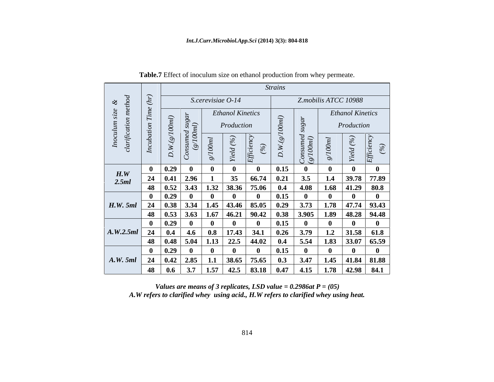|                                       |            |                       |                                                                |                      |                                       |            | <b>Strains</b>                                         |       |          |                                                              |                         |
|---------------------------------------|------------|-----------------------|----------------------------------------------------------------|----------------------|---------------------------------------|------------|--------------------------------------------------------|-------|----------|--------------------------------------------------------------|-------------------------|
| $\begin{array}{cc} 2 & 2 \end{array}$ | (hr)       |                       |                                                                | S.cerevisiae O-14    |                                       |            |                                                        |       |          | Z.mobilis ATCC 10988                                         |                         |
| $i$ size<br>Ė<br>L.                   | Tim        | $\overline{u}$<br>ÖОI | d sugai<br>Iml)                                                |                      | <b>Ethanol Kinetics</b><br>Production |            | $\overline{u}$<br>$\infty$<br>$\overline{\phantom{0}}$ |       |          | <b>Ethanol Kinetics</b><br>Production                        |                         |
| larific<br>$\tilde{L}$                | Incubation | D.W. (g)              | $\tilde{c}$                                                    |                      | $\smile$                              |            | Ò<br>$\geq$<br>$\overline{D}$ .                        |       |          | $\widehat{\circ}$<br>$\overline{\phantom{0}}$<br>$\tilde{z}$ | $\widehat{\phantom{a}}$ |
|                                       |            | 0.29                  |                                                                |                      |                                       |            | 0.15                                                   |       | -0       |                                                              |                         |
| $H.W$<br>2.5ml                        | 24         | 0.41                  | $\vert$ 2.96                                                   |                      | 35                                    | 66.74      | 0.21                                                   | 3.5   | 1.4      | 39.78                                                        | 77.89                   |
|                                       |            |                       | 48 $\vert 0.52 \vert 3.43 \vert$                               | $1.32$ 38.36         |                                       | 75.06      | 0.4                                                    | 4.08  | 1.68     | 41.29                                                        | 80.8                    |
|                                       |            | 0.29                  |                                                                | -0                   |                                       |            | 0.15                                                   |       | $\bf{0}$ |                                                              | $\bf{0}$                |
| H.W. 5ml                              |            |                       | $24 \mid 0.38 \mid 3.34$                                       |                      | $1.45$ 43.46                          | 85.05      | 0.29                                                   | 3.73  | 1.78     | 47.74                                                        | 93.43                   |
|                                       |            | 48   0.53   3.63      |                                                                | $1.67 \,   \, 46.21$ |                                       | 90.42      | 0.38                                                   | 3.905 | 1.89     |                                                              | 48.28 94.48             |
|                                       |            | 0.29                  |                                                                |                      |                                       |            | 0.15                                                   |       |          |                                                              |                         |
| $A.W.2.5ml$ 24                        |            | 0.4                   | 4.6                                                            | 0.8                  | 17.43                                 | 34.1       | 0.26                                                   | 3.79  | 1.2      | 31.58                                                        | 61.8                    |
|                                       |            | 48   0.48   5.04      |                                                                | 1.13                 | 22.5                                  | 44.02      | 0.4                                                    | 5.54  | 1.83     | 33.07                                                        | 65.59                   |
|                                       |            | 0.29                  |                                                                |                      |                                       |            | 0.15                                                   |       | $\bf{0}$ |                                                              | $\bf{0}$                |
| A.W. 5ml                              | 24         |                       | $\vert 0.42 \vert 2.85$                                        | 1.1                  | 38.65                                 | 75.65      | 0.3                                                    | 3.47  | 1.45     |                                                              | 41.84 81.88             |
|                                       | 48         |                       | $\begin{array}{ c c c } \hline 0.6 & 3.7 \ \hline \end{array}$ | 1.57                 |                                       | 42.5 83.18 | 0.47                                                   | 4.15  |          |                                                              | $1.78$ 42.98 84.1       |

**Table.7** Effect of inoculum size on ethanol production from whey permeate.

*Values are means of 3 replicates, LSD value = 0.2986at P = (05) A.W refers to clarified whey using acid., H.W refers to clarified whey using heat.*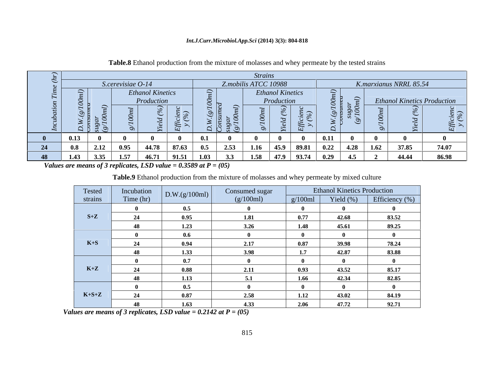|                 |      |      |                   |                         |                 |      |                      | <b>Strains</b> |                         |       |      |      |      |                                    |       |
|-----------------|------|------|-------------------|-------------------------|-----------------|------|----------------------|----------------|-------------------------|-------|------|------|------|------------------------------------|-------|
|                 |      |      | S.cerevisiae O-14 |                         |                 |      | Z.mobilis ATCC 10988 |                |                         |       |      |      |      | K.marxianus NRRL 85.54             |       |
|                 |      |      |                   | <b>Ethanol Kinetics</b> |                 |      |                      |                | <b>Ethanol Kinetics</b> |       |      |      |      |                                    |       |
|                 |      |      |                   | Production              |                 |      |                      |                | <i>Production</i>       |       |      |      |      | <b>Ethanol Kinetics Production</b> |       |
|                 |      |      |                   |                         |                 |      |                      |                |                         |       |      |      |      |                                    |       |
|                 |      |      |                   |                         | $\mathcal{F}$ . |      |                      |                |                         |       |      |      |      |                                    |       |
|                 |      | 553  |                   |                         |                 |      |                      |                |                         |       |      |      |      |                                    |       |
|                 | 0.13 |      |                   |                         |                 |      |                      |                |                         |       |      |      |      |                                    |       |
| $\Delta$<br>-44 | 0.8  | 2.12 | 0.95              | 44.78                   | 87.63           | 0.5  | 2.53                 | 1.16           | 45.9                    | 89.81 | 0.22 | 4.28 | 1.62 | 37.85                              | 74.07 |
|                 | 1.43 | 3.35 | 1.57              | 46.71                   | 91.51           | 1.03 | 3.3                  | 1.58           | 47.9                    | 93.74 | 0.29 | 4.5  |      | 44.44                              | 86.98 |

### **Table.8** Ethanol production from the mixture of molasses and whey permeate by the tested strains

 *Values are means of 3 replicates, LSD value = 0.3589 at P = (05)*

**Table.9** Ethanol production from the mixture of molasses and whey permeate by mixed culture

| Tested  | Incubation | $\vert$ D.W.(g/100ml) $\vert$ | Consumed sugar |         | <b>Ethanol Kinetics Production</b> |                |
|---------|------------|-------------------------------|----------------|---------|------------------------------------|----------------|
| strains | Time (hr)  |                               | (g/100ml)      | g/100ml | Yield $(\%)$                       | Efficiency (%) |
|         |            | 0.5                           |                |         |                                    |                |
| $S+Z$   | 24         | 0.95                          | 1.81           | 0.77    | 42.68                              | 83.52          |
|         | 48         | 1.23                          | 3.26           | 1.48    | 45.61                              | 89.25          |
|         |            | 0.6                           |                |         |                                    |                |
| $K+S$   | 24         | 0.94                          | 2.17           | 0.87    | 39.98                              | 78.24          |
|         | 48         | 1.33                          | 3.98           | 1.7     | 42.87                              | 83.88          |
|         |            | 0.7                           |                |         |                                    |                |
| $K+Z$   | 24         | 0.88                          | 2.11           | 0.93    | 43.52                              | 85.17          |
|         | 48         | 1.13                          | 5.1            | 1.66    | 42.34                              | 82.85          |
|         |            | 0.5                           |                |         |                                    |                |
| $K+S+Z$ | 24         | 0.87                          | 2.58           | 1.12    | 43.02                              | 84.19          |
|         | 48         | 1.63                          | 4.33           | 2.06    | 47.72                              | 92.71          |

*Values are means of 3 replicates, LSD value* = 0.2142 *at*  $P = (05)$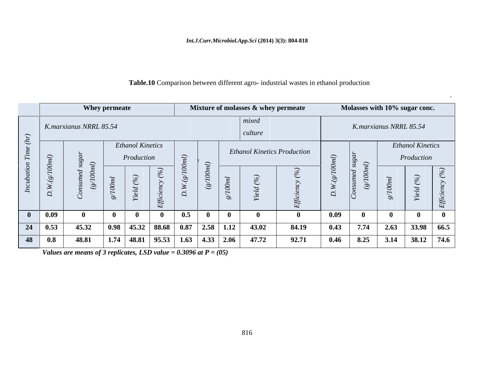### **Table.10** Comparison between different agro- industrial wastes in ethanol production

.

|                               |                       | Whey permeate              |                                                   |                                                                                   |                |                |                                 | Mixture of molasses & whey permeate |                                    |                                      | Molasses with 10% sugar conc.           |      |                                       |  |
|-------------------------------|-----------------------|----------------------------|---------------------------------------------------|-----------------------------------------------------------------------------------|----------------|----------------|---------------------------------|-------------------------------------|------------------------------------|--------------------------------------|-----------------------------------------|------|---------------------------------------|--|
|                               |                       | K.marxianus NRRL 85.54     |                                                   |                                                                                   |                |                |                                 | mixed<br>culture                    |                                    |                                      | K.marxianus NRRL 85.54                  |      |                                       |  |
| $\widetilde{u}$<br>$\ddot{T}$ | $\overline{C}$        | $\alpha$<br>$\overline{C}$ | <b>Ethanol Kinetics</b><br>Production             |                                                                                   | $\sum$         | $\overline{C}$ |                                 |                                     | <b>Ethanol Kinetics Production</b> | $\overline{Q}$                       | $\tilde{\mathscr{E}}$<br>$\overline{C}$ |      | <b>Ethanol Kinetics</b><br>Production |  |
| $\ddot{L}$                    | $\circ$<br>Ò,<br>D, W | $\check{ }$                | $\overline{\phantom{1}}$<br>$\sim$<br>$\check{ }$ | $\tau$                                                                            | ⊷<br>╰         | ⊃              |                                 | $\sim$                              | ≏                                  | $\triangleright$<br>$\overline{D}$ . |                                         |      |                                       |  |
|                               | 0.09                  |                            |                                                   |                                                                                   | 0.5            |                |                                 |                                     |                                    | 0.09                                 |                                         |      |                                       |  |
| 24                            | 0.53                  | 45.32                      |                                                   | $\begin{array}{ c c c c c c c c } \hline 0.98 & 45.32 & 88.68 \hline \end{array}$ | $\boxed{0.87}$ | 2.58           | $\vert$ 1.12                    | 43.02                               | 84.19                              | 0.43                                 | 7.74                                    | 2.63 | $33.98$ 66.5                          |  |
| 48                            | 0.8                   | 48.81                      | $1.74$ 48.81                                      | 95.53                                                                             |                |                | 1.63   4.33   $\overline{2.06}$ | 47.72                               | 92.71                              | 0.46                                 | 8.25                                    | 3.14 | $38.12$ 74.6                          |  |

*Values are means of 3 replicates, LSD value = 0.3096 at P = (05)*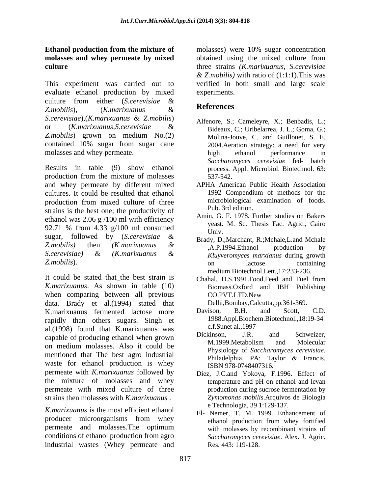This experiment was carried out to verified in both small and large scale evaluate ethanol production by mixed culture from either (*S.cerevisiae* & *Z.mobilis*), (*K.marixuanus* & *S.cerevisiae*),(*K.marixuanus* & *Z.mobilis*) or (*K.marixuanus*,*S.cerevisiae* & *Z.mobilis*) grown on medium No.(2) contained 10% sugar from sugar cane molasses and whey permeate. This high ethanol performance in

Results in table (9) show ethanol production from the mixture of molasses 537-542. and whey permeate by different mixed<br>
APHA American Public Health Association<br>
cultures It could be resulted that ethanol<br>
1992 Compendium of methods for the cultures. It could be resulted that ethanol production from mixed culture of three strains is the best one; the productivity of ethanol was 2.06 g /100 ml with efficiency 92.71 % from 4.33 g/100 ml consumed  $\frac{y}{\text{Univ}}$ . sugar, followed by (*S.cerevisiae & Z.mobilis)* then *(K.marixuanus & S.cerevisiae)* & *(K.marixuanus & Z.mobilis*).

It could be stated that the best strain is Chahal, D.S.1991.Food,Feed and Fuel from *K.marixuanus*. As shown in table (10) when comparing between all previous data. Brady et al.(1994) stated that Delhi, Bombay,<br>K.marixuanus fermented lactose more Davison, B.H. K.marixuanus fermented lactose more Davison, B.H. and Scott, C.D. rapidly than others sugars. Singh et 1988.Appl.Bioche<br>el (1008) found that *V* marinuonus was c.f.Sunet al.,1997 al.(1998) found that K.marixuanus was  $C.t.S$ unet al., 1997<br>Dickinson, J.R. and Schweizer. capable of producing ethanol when grown<br>M.1999.Metabolism and Molecular on medium molasses. Also it could be mentioned that The best agro industrial<br>Philadelphia, PA: Taylor & Francis. waste for ethanol production is whey ISBN 978-0748407316. permeate with *K.marixuanus* followed by the mixture of molasses and whey permeate with mixed culture of three production during sucrose fermentation by strains then molasses with *K.marixuanus* .

*K.marixuanus* is the most efficient ethanol producer microorganisms from whey<br>ethanol production from whey fortified permeate and molasses.The optimum conditions of ethanol production from agro industrial wastes (Whey permeate and

**Ethanol production from the mixture of molasses and whey permeate by mixed** obtained using the mixed culture from **culture** three strains *(K.marixuanus, S.cerevisiae* molasses) were 10% sugar concentration *& Z.mobilis)* with ratio of (1:1:1).This was experiments.

### **References**

- Alfenore, S.; Cameleyre, X.; Benbadis, L.; Bideaux, C.; Uribelarrea, J. L.; Goma, G.; Molina-Jouve, C. and Guillouet, S. E. 2004.Aeration strategy: a need for very high ethanol performance in *Saccharomyces cerevisiae* fed- batch process. Appl. Microbiol. Biotechnol. 63: 537-542.
- APHA American Public Health Association 1992 Compendium of methods for the microbiological examination of foods. Pub. 3rd edition.
- Amin, G. F. 1978. Further studies on Bakers yeast. M. Sc. Thesis Fac. Agric., Cairo Univ.
- Brady, D.;Marchant, R.;Mchale,L.and Mchale ,A.P.1994.Ethanol production by *Kluyveromyces marxianus* during growth on lactose containing medium.Biotechnol.Lett.,17:233-236.
- Chahal, D.S.1991.Food,Feed and Fuel from Biomass.Oxford and IBH Publishing CO.PVT.LTD.New

Delhi,Bombay,Calcutta,pp.361-369.

- Davison, B.H. and Scott, C.D. 1988.Appl.Biochem.Biotechnol.,18:19-34 c.f.Sunet al.,1997
- Dickinson, J.R. and Schweizer, M.1999.Metabolism and Molecular Physiology of *Saccharomyces cerevisiae.* Philadelphia, PA: Taylor & Francis. ISBN 978-0748407316.
- Diez, J.C.and Yokoya, F.1996. Effect of temperature and pH on ethanol and levan *Zymomonas mobilis*.Arquivos de Biologia e Technologia, 39 1:129-137.
- El- Nemer, T. M. 1999. Enhancement of ethanol production from whey fortified with molasses by recombinant strains of *Saccharomyces cerevisiae*. Alex. J. Agric. Res. 443: 119-128.